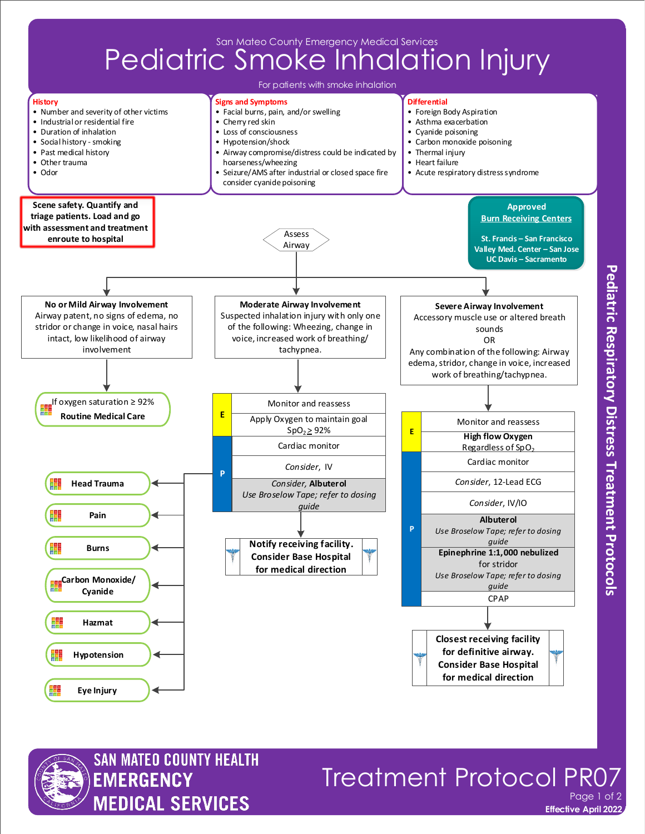



## **Effective April 2022 Treatment Protocol PRC** Page 1 of 2

**Pediatric Respiratory Distress Treatment Protocols**